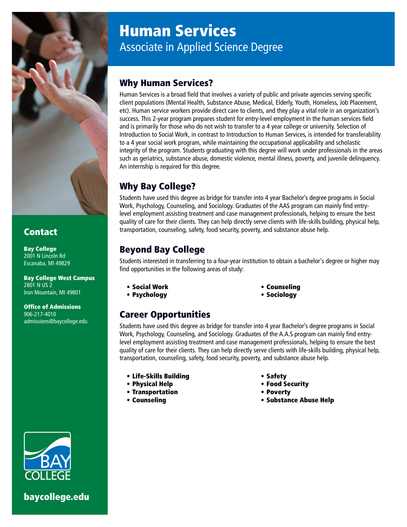

### **Contact**

Bay College 2001 N Lincoln Rd Escanaba, MI 49829

Bay College West Campus 2801 N US 2 Iron Mountain, MI 49801

Office of Admissions 906-217-4010 admissions@baycollege.edu



[baycollege.edu](https://www.baycollege.edu)

# Human Services Associate in Applied Science Degree

### Why Human Services?

Human Services is a broad field that involves a variety of public and private agencies serving specific client populations (Mental Health, Substance Abuse, Medical, Elderly, Youth, Homeless, Job Placement, etc). Human service workers provide direct care to clients, and they play a vital role in an organization's success. This 2-year program prepares student for entry-level employment in the human services field and is primarily for those who do not wish to transfer to a 4 year college or university. Selection of Introduction to Social Work, in contrast to Introduction to Human Services, is intended for transferability to a 4 year social work program, while maintaining the occupational applicability and scholastic integrity of the program. Students graduating with this degree will work under professionals in the areas such as geriatrics, substance abuse, domestic violence, mental illness, poverty, and juvenile delinquency. An internship is required for this degree.

# Why Bay College?

Students have used this degree as bridge for transfer into 4 year Bachelor's degree programs in Social Work, Psychology, Counseling, and Sociology. Graduates of the AAS program can mainly find entrylevel employment assisting treatment and case management professionals, helping to ensure the best quality of care for their clients. They can help directly serve clients with life-skills building, physical help, transportation, counseling, safety, food security, poverty, and substance abuse help.

# Beyond Bay College

Students interested in transferring to a four-year institution to obtain a bachelor's degree or higher may find opportunities in the following areas of study:

- Social Work
- Psychology

• Sociology

• Counseling

## Career Opportunities

Students have used this degree as bridge for transfer into 4 year Bachelor's degree programs in Social Work, Psychology, Counseling, and Sociology. Graduates of the A.A.S program can mainly find entrylevel employment assisting treatment and case management professionals, helping to ensure the best quality of care for their clients. They can help directly serve clients with life-skills building, physical help, transportation, counseling, safety, food security, poverty, and substance abuse help.

- Life-Skills Building
- Physical Help
- Transportation
- Counseling
- Safety
- Food Security
- Poverty
- Substance Abuse Help